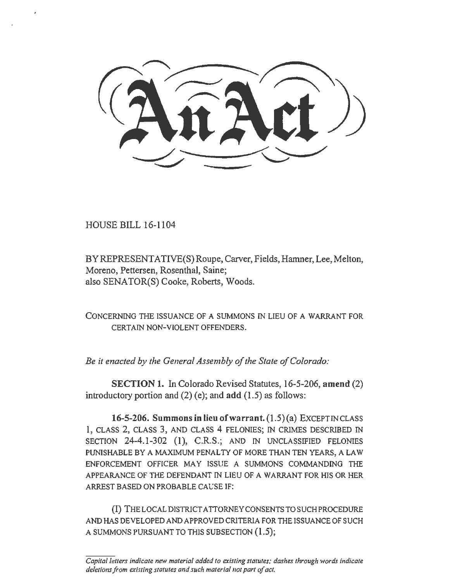HOUSE BILL 16-1104

BY REPRESENTATIVE(S) Roupe, Carver, Fields, Hamner, Lee, Melton, Moreno, Pettersen, Rosenthal, Saine; also SENATOR(S) Cooke, Roberts, Woods.

CONCERNING THE ISSUANCE OF A SUMMONS IN LIEU OF A WARRANT FOR CERTAIN NON-VIOLENT OFFENDERS.

*Be it enacted by the General Assembly of the State of Colorado:* 

SECTION 1. In Colorado Revised Statutes, 16-5-206, amend (2) introductory portion and  $(2)$  (e); and add  $(1.5)$  as follows:

16-5-206. Summons in lieu of warrant.  $(1.5)(a)$  EXCEPT IN CLASS 1, CLASS 2, CLASS 3, AND CLASS 4 FELONIES; IN CRIMES DESCRIBED IN SECTION 24-4.1-302 (1), C.R.S.; AND IN UNCLASSIFIED FELONIES PUNISHABLE BY A MAXIMUM PENALTY OF MORE THAN TEN YEARS, A LAW ENFORCEMENT OFFICER MAY ISSUE A SUMMONS COMMANDING THE APPEARANCE OF THE DEFENDANT IN LIEU OF A WARRANT FOR HIS OR HER ARREST BASED ON PROBABLE CAUSE IF:

(I) THE LOCAL DISTRICT ATTORNEY CONSENTS TO SUCH PROCEDURE AND HAS DEVELOPED AND APPROVED CRITERIA FOR THE ISSUANCE OF SUCH A SUMMONS PURSUANT TO THIS SUBSECTION (1.5);

*Capital letters indicate new material added to existing statutes; dashes through words indicate deletions from existing statutes and such material not part of act.*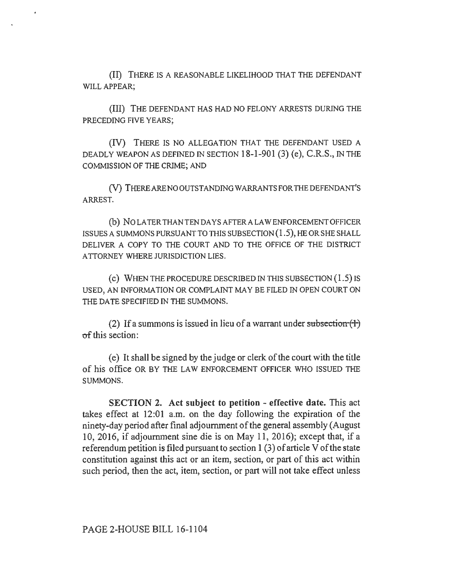(II) THERE IS A REASONABLE LIKELIHOOD THAT THE DEFENDANT WILL APPEAR;

(III) THE DEFENDANT HAS HAD NO FELONY ARRESTS DURING THE PRECEDING FIVE YEARS;

(IV) THERE IS NO ALLEGATION THAT THE DEFENDANT USED A DEADLY WEAPON AS DEFINED IN SECTION 18-1-901 (3) (e), C.R.S., IN THE COMMISSION OF THE CRIME; AND

(V) THERE ARE NO OUTSTANDING WARRANTS FOR THE DEFENDANT'S ARREST.

(b) NO LATER THAN TEN DAYS AFTERA LAW ENFORCEMENT OFFICER ISSUES A SUMMONS PURSUANT TO THIS SUBSECTION  $(1.5)$ , HE OR SHE SHALL DELIVER A COPY TO THE COURT AND TO THE OFFICE OF THE DISTRICT A TTORNEY WHERE JURISDICTION LIES.

(c) WHEN THE PROCEDURE DESCRIBED IN THIS SUBSECTION  $(1.5)$  IS USED, AN INFORMATION OR COMPLAINT MAY BE FILED IN OPEN COURT ON THE DATE SPECIFIED IN THE SUMMONS.

(2) If a summons is issued in lieu of a warrant under subsection  $(1)$ of this section:

( e) It shall be signed by the judge or clerk of the court with the title of his office OR BY THE LAW ENFORCEMENT OFFICER WHO ISSUED THE SUMMONS.

SECTION 2. Act subject to petition - effective date. This act takes effect at 12:01 a.m. on the day following the expiration of the ninety-day period after final adjournment of the general assembly (August 10, 2016, if adjournment sine die is on May 11, 2016); except that, if a referendum petition is filed pursuant to section 1 (3) of article V of the state constitution against this act or an item, section, or part of this act within such period, then the act, item, section, or part will not take effect unless